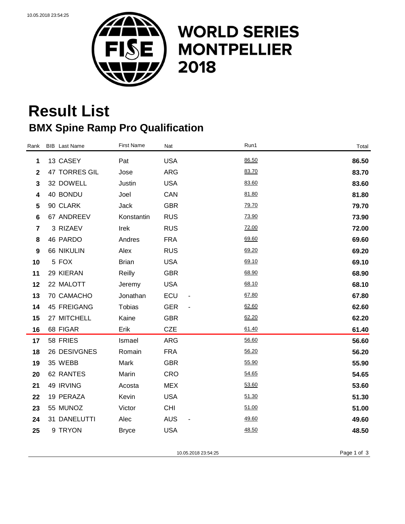

**WORLD SERIES MONTPELLIER** 

## **Result List BMX Spine Ramp Pro Qualification**

| Rank             | <b>BIB</b> Last Name | <b>First Name</b> | Nat        | Run1  | Total |
|------------------|----------------------|-------------------|------------|-------|-------|
| 1                | 13 CASEY             | Pat               | <b>USA</b> | 86.50 | 86.50 |
| $\overline{2}$   | 47 TORRES GIL        | Jose              | <b>ARG</b> | 83.70 | 83.70 |
| 3                | 32 DOWELL            | Justin            | <b>USA</b> | 83.60 | 83.60 |
| 4                | 40 BONDU             | Joel              | CAN        | 81.80 | 81.80 |
| $5\phantom{1}$   | 90 CLARK             | Jack              | <b>GBR</b> | 79.70 | 79.70 |
| $6\phantom{1}$   | 67 ANDREEV           | Konstantin        | <b>RUS</b> | 73.90 | 73.90 |
| $\overline{7}$   | 3 RIZAEV             | Irek              | <b>RUS</b> | 72.00 | 72.00 |
| 8                | 46 PARDO             | Andres            | <b>FRA</b> | 69.60 | 69.60 |
| $\boldsymbol{9}$ | 66 NIKULIN           | Alex              | <b>RUS</b> | 69.20 | 69.20 |
| 10               | 5 FOX                | <b>Brian</b>      | <b>USA</b> | 69.10 | 69.10 |
| 11               | 29 KIERAN            | Reilly            | <b>GBR</b> | 68.90 | 68.90 |
| 12               | 22 MALOTT            | Jeremy            | <b>USA</b> | 68.10 | 68.10 |
| 13               | 70 CAMACHO           | Jonathan          | ECU        | 67.80 | 67.80 |
| 14               | 45 FREIGANG          | <b>Tobias</b>     | <b>GER</b> | 62.60 | 62.60 |
| 15               | 27 MITCHELL          | Kaine             | <b>GBR</b> | 62.20 | 62.20 |
| 16               | 68 FIGAR             | Erik              | <b>CZE</b> | 61.40 | 61.40 |
| 17               | 58 FRIES             | Ismael            | ARG        | 56.60 | 56.60 |
| 18               | 26 DESIVGNES         | Romain            | <b>FRA</b> | 56.20 | 56.20 |
| 19               | 35 WEBB              | Mark              | <b>GBR</b> | 55.90 | 55.90 |
| 20               | 62 RANTES            | Marin             | <b>CRO</b> | 54.65 | 54.65 |
| 21               | 49 IRVING            | Acosta            | <b>MEX</b> | 53.60 | 53.60 |
| 22               | 19 PERAZA            | Kevin             | <b>USA</b> | 51.30 | 51.30 |
| 23               | 55 MUNOZ             | Victor            | <b>CHI</b> | 51.00 | 51.00 |
| 24               | 31 DANELUTTI         | Alec              | <b>AUS</b> | 49.60 | 49.60 |
| 25               | 9 TRYON              | <b>Bryce</b>      | <b>USA</b> | 48.50 | 48.50 |
|                  |                      |                   |            |       |       |

10.05.2018 23:54:25 Page 1 of 3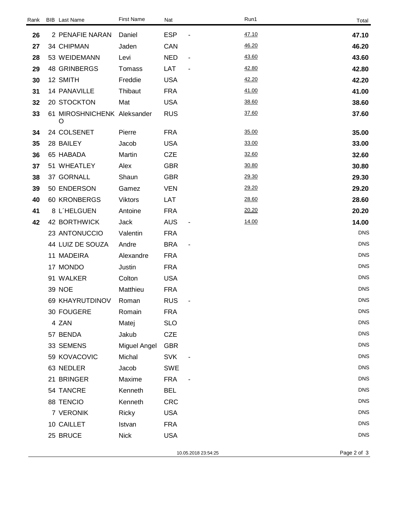| Rank | <b>BIB</b> Last Name             | <b>First Name</b> | Nat        |                     | Run1  | Total       |
|------|----------------------------------|-------------------|------------|---------------------|-------|-------------|
| 26   | 2 PENAFIE NARAN                  | Daniel            | <b>ESP</b> |                     | 47.10 | 47.10       |
| 27   | 34 CHIPMAN                       | Jaden             | CAN        |                     | 46.20 | 46.20       |
| 28   | 53 WEIDEMANN                     | Levi              | <b>NED</b> | ۰                   | 43.60 | 43.60       |
| 29   | <b>48 GRINBERGS</b>              | Tomass            | LAT        |                     | 42.80 | 42.80       |
| 30   | 12 SMITH                         | Freddie           | <b>USA</b> |                     | 42.20 | 42.20       |
| 31   | 14 PANAVILLE                     | Thibaut           | <b>FRA</b> |                     | 41.00 | 41.00       |
| 32   | 20 STOCKTON                      | Mat               | <b>USA</b> |                     | 38.60 | 38.60       |
| 33   | 61 MIROSHNICHENK Aleksander<br>O |                   | <b>RUS</b> |                     | 37.60 | 37.60       |
| 34   | 24 COLSENET                      | Pierre            | <b>FRA</b> |                     | 35.00 | 35.00       |
| 35   | 28 BAILEY                        | Jacob             | <b>USA</b> |                     | 33.00 | 33.00       |
| 36   | 65 HABADA                        | Martin            | <b>CZE</b> |                     | 32.60 | 32.60       |
| 37   | 51 WHEATLEY                      | Alex              | <b>GBR</b> |                     | 30.80 | 30.80       |
| 38   | 37 GORNALL                       | Shaun             | <b>GBR</b> |                     | 29.30 | 29.30       |
| 39   | 50 ENDERSON                      | Gamez             | <b>VEN</b> |                     | 29.20 | 29.20       |
| 40   | 60 KRONBERGS                     | <b>Viktors</b>    | LAT        |                     | 28.60 | 28.60       |
| 41   | 8 L'HELGUEN                      | Antoine           | <b>FRA</b> |                     | 20.20 | 20.20       |
| 42   | 42 BORTHWICK                     | Jack              | <b>AUS</b> |                     | 14.00 | 14.00       |
|      | 23 ANTONUCCIO                    | Valentin          | <b>FRA</b> |                     |       | <b>DNS</b>  |
|      | 44 LUIZ DE SOUZA                 | Andre             | <b>BRA</b> |                     |       | <b>DNS</b>  |
|      | 11 MADEIRA                       | Alexandre         | <b>FRA</b> |                     |       | DNS         |
|      | 17 MONDO                         | Justin            | <b>FRA</b> |                     |       | <b>DNS</b>  |
|      | 91 WALKER                        | Colton            | <b>USA</b> |                     |       | <b>DNS</b>  |
|      | 39 NOE                           | Matthieu          | <b>FRA</b> |                     |       | <b>DNS</b>  |
|      | 69 KHAYRUTDINOV                  | Roman             | <b>RUS</b> |                     |       | <b>DNS</b>  |
|      | 30 FOUGERE                       | Romain            | <b>FRA</b> |                     |       | <b>DNS</b>  |
|      | 4 ZAN                            | Matej             | <b>SLO</b> |                     |       | <b>DNS</b>  |
|      | 57 BENDA                         | Jakub             | <b>CZE</b> |                     |       | <b>DNS</b>  |
|      | 33 SEMENS                        | Miguel Angel      | <b>GBR</b> |                     |       | <b>DNS</b>  |
|      | 59 KOVACOVIC                     | Michal            | <b>SVK</b> |                     |       | <b>DNS</b>  |
|      | 63 NEDLER                        | Jacob             | <b>SWE</b> |                     |       | <b>DNS</b>  |
|      | 21 BRINGER                       | Maxime            | <b>FRA</b> |                     |       | <b>DNS</b>  |
|      | 54 TANCRE                        | Kenneth           | <b>BEL</b> |                     |       | <b>DNS</b>  |
|      | 88 TENCIO                        | Kenneth           | <b>CRC</b> |                     |       | <b>DNS</b>  |
|      | 7 VERONIK                        | Ricky             | <b>USA</b> |                     |       | <b>DNS</b>  |
|      | 10 CAILLET                       | Istvan            | <b>FRA</b> |                     |       | <b>DNS</b>  |
|      | 25 BRUCE                         | <b>Nick</b>       | <b>USA</b> |                     |       | <b>DNS</b>  |
|      |                                  |                   |            | 10.05.2018 23:54:25 |       | Page 2 of 3 |